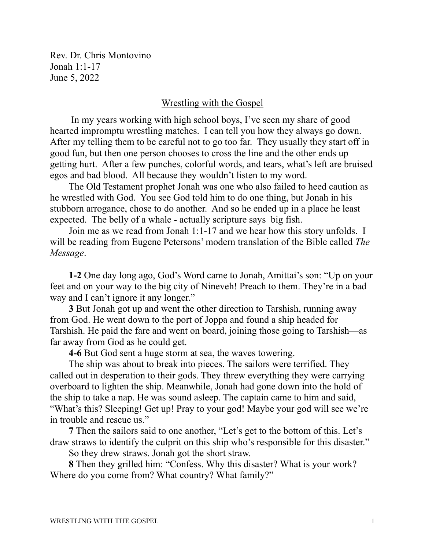Rev. Dr. Chris Montovino Jonah 1:1-17 June 5, 2022

## Wrestling with the Gospel

 In my years working with high school boys, I've seen my share of good hearted impromptu wrestling matches. I can tell you how they always go down. After my telling them to be careful not to go too far. They usually they start off in good fun, but then one person chooses to cross the line and the other ends up getting hurt. After a few punches, colorful words, and tears, what's left are bruised egos and bad blood. All because they wouldn't listen to my word.

The Old Testament prophet Jonah was one who also failed to heed caution as he wrestled with God. You see God told him to do one thing, but Jonah in his stubborn arrogance, chose to do another. And so he ended up in a place he least expected. The belly of a whale - actually scripture says big fish.

Join me as we read from Jonah 1:1-17 and we hear how this story unfolds. I will be reading from Eugene Petersons' modern translation of the Bible called *The Message*.

**1-2** One day long ago, God's Word came to Jonah, Amittai's son: "Up on your feet and on your way to the big city of Nineveh! Preach to them. They're in a bad way and I can't ignore it any longer."

**3** But Jonah got up and went the other direction to Tarshish, running away from God. He went down to the port of Joppa and found a ship headed for Tarshish. He paid the fare and went on board, joining those going to Tarshish—as far away from God as he could get.

**4-6** But God sent a huge storm at sea, the waves towering.

The ship was about to break into pieces. The sailors were terrified. They called out in desperation to their gods. They threw everything they were carrying overboard to lighten the ship. Meanwhile, Jonah had gone down into the hold of the ship to take a nap. He was sound asleep. The captain came to him and said, "What's this? Sleeping! Get up! Pray to your god! Maybe your god will see we're in trouble and rescue us."

**7** Then the sailors said to one another, "Let's get to the bottom of this. Let's draw straws to identify the culprit on this ship who's responsible for this disaster."

So they drew straws. Jonah got the short straw.

**8** Then they grilled him: "Confess. Why this disaster? What is your work? Where do you come from? What country? What family?"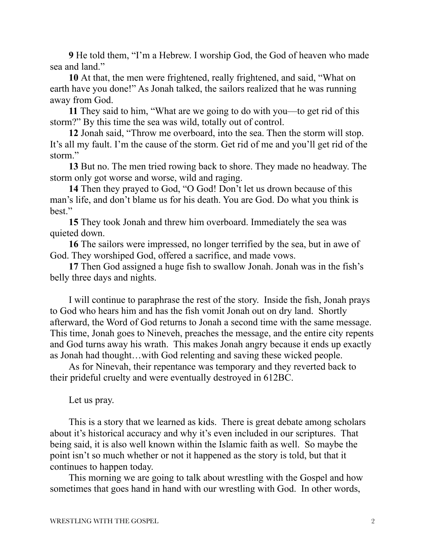**9** He told them, "I'm a Hebrew. I worship God, the God of heaven who made sea and land."

**10** At that, the men were frightened, really frightened, and said, "What on earth have you done!" As Jonah talked, the sailors realized that he was running away from God.

**11** They said to him, "What are we going to do with you—to get rid of this storm?" By this time the sea was wild, totally out of control.

**12** Jonah said, "Throw me overboard, into the sea. Then the storm will stop. It's all my fault. I'm the cause of the storm. Get rid of me and you'll get rid of the storm."

**13** But no. The men tried rowing back to shore. They made no headway. The storm only got worse and worse, wild and raging.

**14** Then they prayed to God, "O God! Don't let us drown because of this man's life, and don't blame us for his death. You are God. Do what you think is best."

**15** They took Jonah and threw him overboard. Immediately the sea was quieted down.

**16** The sailors were impressed, no longer terrified by the sea, but in awe of God. They worshiped God, offered a sacrifice, and made vows.

**17** Then God assigned a huge fish to swallow Jonah. Jonah was in the fish's belly three days and nights.

I will continue to paraphrase the rest of the story. Inside the fish, Jonah prays to God who hears him and has the fish vomit Jonah out on dry land. Shortly afterward, the Word of God returns to Jonah a second time with the same message. This time, Jonah goes to Nineveh, preaches the message, and the entire city repents and God turns away his wrath. This makes Jonah angry because it ends up exactly as Jonah had thought…with God relenting and saving these wicked people.

As for Ninevah, their repentance was temporary and they reverted back to their prideful cruelty and were eventually destroyed in 612BC.

Let us pray.

This is a story that we learned as kids. There is great debate among scholars about it's historical accuracy and why it's even included in our scriptures. That being said, it is also well known within the Islamic faith as well. So maybe the point isn't so much whether or not it happened as the story is told, but that it continues to happen today.

This morning we are going to talk about wrestling with the Gospel and how sometimes that goes hand in hand with our wrestling with God. In other words,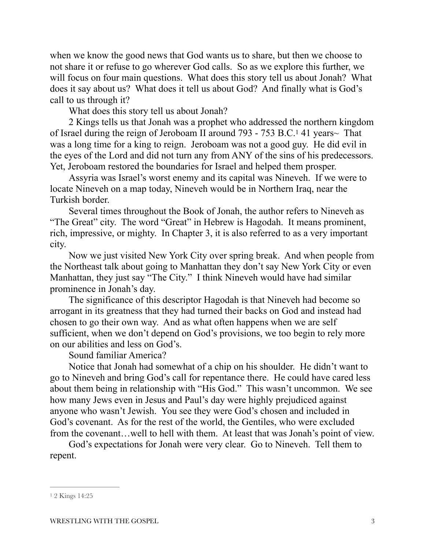when we know the good news that God wants us to share, but then we choose to not share it or refuse to go wherever God calls. So as we explore this further, we will focus on four main questions. What does this story tell us about Jonah? What does it say about us? What does it tell us about God? And finally what is God's call to us through it?

<span id="page-2-1"></span>What does this story tell us about Jonah?

2 Kings tells us that Jonah was a prophet who addressed the northern kingdom of Israel during the reign of Jeroboam II around 793 - 753 B.C.<sup>[1](#page-2-0)</sup> 41 years~ That was a long time for a king to reign. Jeroboam was not a good guy. He did evil in the eyes of the Lord and did not turn any from ANY of the sins of his predecessors. Yet, Jeroboam restored the boundaries for Israel and helped them prosper.

Assyria was Israel's worst enemy and its capital was Nineveh. If we were to locate Nineveh on a map today, Nineveh would be in Northern Iraq, near the Turkish border.

Several times throughout the Book of Jonah, the author refers to Nineveh as "The Great" city. The word "Great" in Hebrew is Hagodah. It means prominent, rich, impressive, or mighty. In Chapter 3, it is also referred to as a very important city.

Now we just visited New York City over spring break. And when people from the Northeast talk about going to Manhattan they don't say New York City or even Manhattan, they just say "The City." I think Nineveh would have had similar prominence in Jonah's day.

The significance of this descriptor Hagodah is that Nineveh had become so arrogant in its greatness that they had turned their backs on God and instead had chosen to go their own way. And as what often happens when we are self sufficient, when we don't depend on God's provisions, we too begin to rely more on our abilities and less on God's.

Sound familiar America?

Notice that Jonah had somewhat of a chip on his shoulder. He didn't want to go to Nineveh and bring God's call for repentance there. He could have cared less about them being in relationship with "His God." This wasn't uncommon. We see how many Jews even in Jesus and Paul's day were highly prejudiced against anyone who wasn't Jewish. You see they were God's chosen and included in God's covenant. As for the rest of the world, the Gentiles, who were excluded from the covenant…well to hell with them. At least that was Jonah's point of view.

God's expectations for Jonah were very clear. Go to Nineveh. Tell them to repent.

<span id="page-2-0"></span>[<sup>1</sup>](#page-2-1) 2 Kings 14:25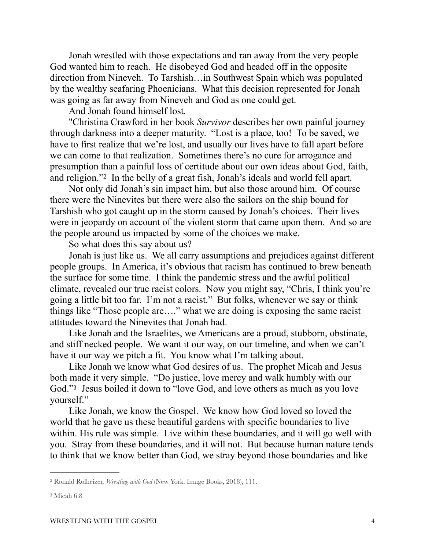Jonah wrestled with those expectations and ran away from the very people God wanted him to reach. He disobeyed God and headed off in the opposite direction from Nineveh. To Tarshish…in Southwest Spain which was populated by the wealthy seafaring Phoenicians. What this decision represented for Jonah was going as far away from Nineveh and God as one could get.

And Jonah found himself lost.

"Christina Crawford in her book *Survivor* describes her own painful journey through darkness into a deeper maturity. "Lost is a place, too! To be saved, we have to first realize that we're lost, and usually our lives have to fall apart before we can come to that realization. Sometimes there's no cure for arrogance and presumption than a painful loss of certitude about our own ideas about God, faith, andreligion."<sup>[2](#page-3-0)</sup> In the belly of a great fish, Jonah's ideals and world fell apart.

<span id="page-3-2"></span>Not only did Jonah's sin impact him, but also those around him. Of course there were the Ninevites but there were also the sailors on the ship bound for Tarshish who got caught up in the storm caused by Jonah's choices. Their lives were in jeopardy on account of the violent storm that came upon them. And so are the people around us impacted by some of the choices we make.

So what does this say about us?

Jonah is just like us. We all carry assumptions and prejudices against different people groups. In America, it's obvious that racism has continued to brew beneath the surface for some time. I think the pandemic stress and the awful political climate, revealed our true racist colors. Now you might say, "Chris, I think you're going a little bit too far. I'm not a racist." But folks, whenever we say or think things like "Those people are…." what we are doing is exposing the same racist attitudes toward the Ninevites that Jonah had.

Like Jonah and the Israelites, we Americans are a proud, stubborn, obstinate, and stiff necked people. We want it our way, on our timeline, and when we can't have it our way we pitch a fit. You know what I'm talking about.

<span id="page-3-3"></span>Like Jonah we know what God desires of us. The prophet Micah and Jesus both made it very simple. "Do justice, love mercy and walk humbly with our God."<sup>[3](#page-3-1)</sup> Jesus boiled it down to "love God, and love others as much as you love yourself."

Like Jonah, we know the Gospel. We know how God loved so loved the world that he gave us these beautiful gardens with specific boundaries to live within. His rule was simple. Live within these boundaries, and it will go well with you. Stray from these boundaries, and it will not. But because human nature tends to think that we know better than God, we stray beyond those boundaries and like

<span id="page-3-0"></span><sup>&</sup>lt;sup>[2](#page-3-2)</sup> Ronald Rolheizer, *Wrestling with God* (New York: Image Books, 2018), 111.

<span id="page-3-1"></span>[<sup>3</sup>](#page-3-3) Micah 6:8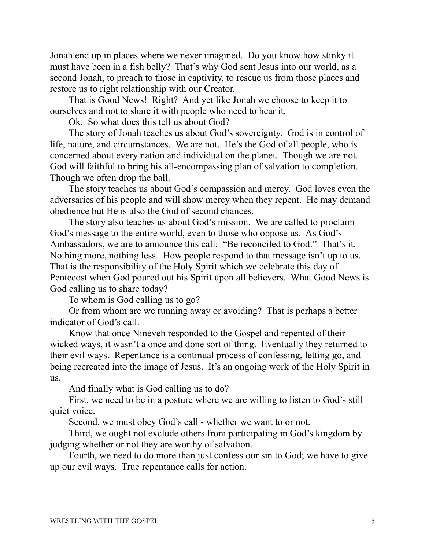Jonah end up in places where we never imagined. Do you know how stinky it must have been in a fish belly? That's why God sent Jesus into our world, as a second Jonah, to preach to those in captivity, to rescue us from those places and restore us to right relationship with our Creator.

That is Good News! Right? And yet like Jonah we choose to keep it to ourselves and not to share it with people who need to hear it.

Ok. So what does this tell us about God?

The story of Jonah teaches us about God's sovereignty. God is in control of life, nature, and circumstances. We are not. He's the God of all people, who is concerned about every nation and individual on the planet. Though we are not. God will faithful to bring his all-encompassing plan of salvation to completion. Though we often drop the ball.

The story teaches us about God's compassion and mercy. God loves even the adversaries of his people and will show mercy when they repent. He may demand obedience but He is also the God of second chances.

The story also teaches us about God's mission. We are called to proclaim God's message to the entire world, even to those who oppose us. As God's Ambassadors, we are to announce this call: "Be reconciled to God." That's it. Nothing more, nothing less. How people respond to that message isn't up to us. That is the responsibility of the Holy Spirit which we celebrate this day of Pentecost when God poured out his Spirit upon all believers. What Good News is God calling us to share today?

To whom is God calling us to go?

Or from whom are we running away or avoiding? That is perhaps a better indicator of God's call.

Know that once Nineveh responded to the Gospel and repented of their wicked ways, it wasn't a once and done sort of thing. Eventually they returned to their evil ways. Repentance is a continual process of confessing, letting go, and being recreated into the image of Jesus. It's an ongoing work of the Holy Spirit in us.

And finally what is God calling us to do?

First, we need to be in a posture where we are willing to listen to God's still quiet voice.

Second, we must obey God's call - whether we want to or not.

Third, we ought not exclude others from participating in God's kingdom by judging whether or not they are worthy of salvation.

Fourth, we need to do more than just confess our sin to God; we have to give up our evil ways. True repentance calls for action.